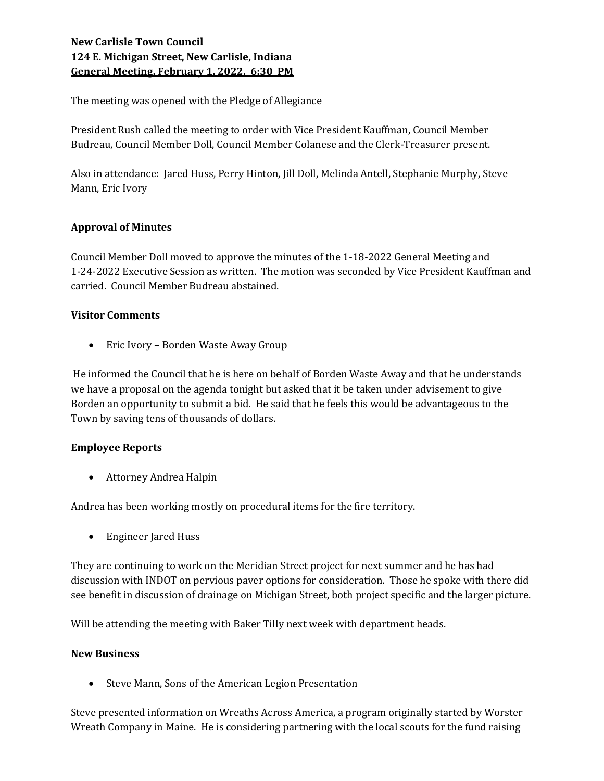# New Carlisle Town Council 124 E. Michigan Street, New Carlisle, Indiana General Meeting, February 1, 2022, 6:30 PM

The meeting was opened with the Pledge of Allegiance

President Rush called the meeting to order with Vice President Kauffman, Council Member Budreau, Council Member Doll, Council Member Colanese and the Clerk-Treasurer present.

Also in attendance: Jared Huss, Perry Hinton, Jill Doll, Melinda Antell, Stephanie Murphy, Steve Mann, Eric Ivory

## Approval of Minutes

Council Member Doll moved to approve the minutes of the 1-18-2022 General Meeting and 1-24-2022 Executive Session as written. The motion was seconded by Vice President Kauffman and carried. Council Member Budreau abstained.

## Visitor Comments

• Eric Ivory – Borden Waste Away Group

 He informed the Council that he is here on behalf of Borden Waste Away and that he understands we have a proposal on the agenda tonight but asked that it be taken under advisement to give Borden an opportunity to submit a bid. He said that he feels this would be advantageous to the Town by saving tens of thousands of dollars.

# Employee Reports

Attorney Andrea Halpin

Andrea has been working mostly on procedural items for the fire territory.

Engineer Jared Huss

They are continuing to work on the Meridian Street project for next summer and he has had discussion with INDOT on pervious paver options for consideration. Those he spoke with there did see benefit in discussion of drainage on Michigan Street, both project specific and the larger picture.

Will be attending the meeting with Baker Tilly next week with department heads.

### New Business

• Steve Mann, Sons of the American Legion Presentation

Steve presented information on Wreaths Across America, a program originally started by Worster Wreath Company in Maine. He is considering partnering with the local scouts for the fund raising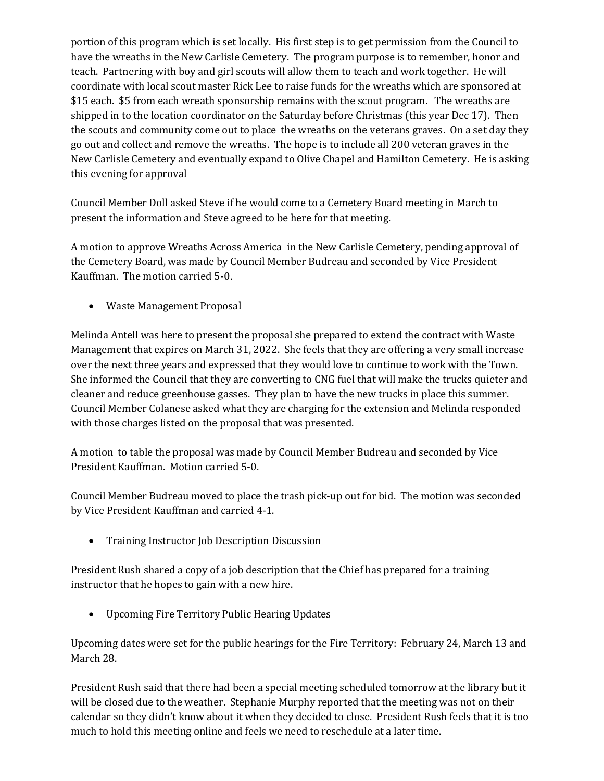portion of this program which is set locally. His first step is to get permission from the Council to have the wreaths in the New Carlisle Cemetery. The program purpose is to remember, honor and teach. Partnering with boy and girl scouts will allow them to teach and work together. He will coordinate with local scout master Rick Lee to raise funds for the wreaths which are sponsored at \$15 each. \$5 from each wreath sponsorship remains with the scout program. The wreaths are shipped in to the location coordinator on the Saturday before Christmas (this year Dec 17). Then the scouts and community come out to place the wreaths on the veterans graves. On a set day they go out and collect and remove the wreaths. The hope is to include all 200 veteran graves in the New Carlisle Cemetery and eventually expand to Olive Chapel and Hamilton Cemetery. He is asking this evening for approval

Council Member Doll asked Steve if he would come to a Cemetery Board meeting in March to present the information and Steve agreed to be here for that meeting.

A motion to approve Wreaths Across America in the New Carlisle Cemetery, pending approval of the Cemetery Board, was made by Council Member Budreau and seconded by Vice President Kauffman. The motion carried 5-0.

Waste Management Proposal

Melinda Antell was here to present the proposal she prepared to extend the contract with Waste Management that expires on March 31, 2022. She feels that they are offering a very small increase over the next three years and expressed that they would love to continue to work with the Town. She informed the Council that they are converting to CNG fuel that will make the trucks quieter and cleaner and reduce greenhouse gasses. They plan to have the new trucks in place this summer. Council Member Colanese asked what they are charging for the extension and Melinda responded with those charges listed on the proposal that was presented.

A motion to table the proposal was made by Council Member Budreau and seconded by Vice President Kauffman. Motion carried 5-0.

Council Member Budreau moved to place the trash pick-up out for bid. The motion was seconded by Vice President Kauffman and carried 4-1.

Training Instructor Job Description Discussion

President Rush shared a copy of a job description that the Chief has prepared for a training instructor that he hopes to gain with a new hire.

Upcoming Fire Territory Public Hearing Updates

Upcoming dates were set for the public hearings for the Fire Territory: February 24, March 13 and March 28.

President Rush said that there had been a special meeting scheduled tomorrow at the library but it will be closed due to the weather. Stephanie Murphy reported that the meeting was not on their calendar so they didn't know about it when they decided to close. President Rush feels that it is too much to hold this meeting online and feels we need to reschedule at a later time.